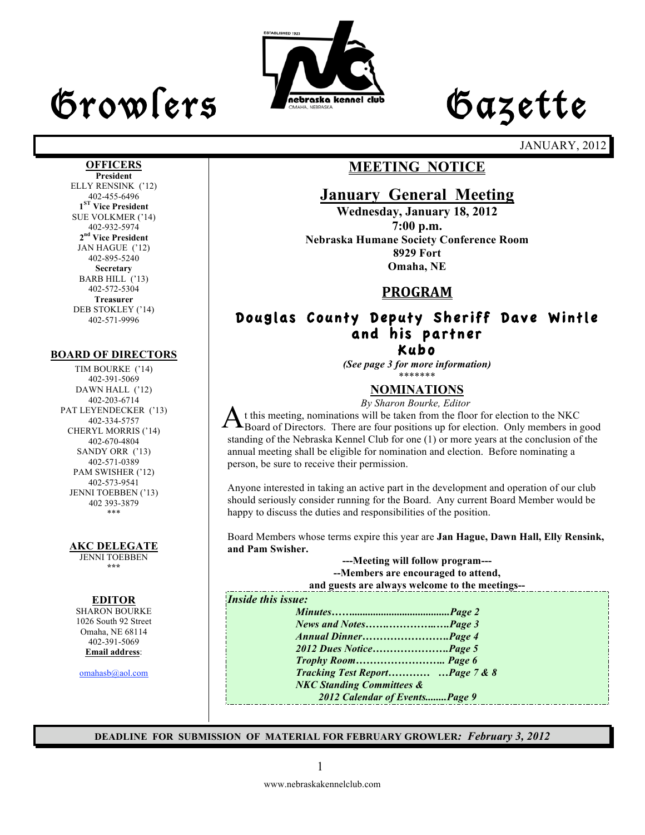# Growlers Lette



JANUARY, 2012

#### **OFFICERS**

**President** ELLY RENSINK ('12) 402-455-6496 **1ST Vice President** SUE VOLKMER ('14) 402-932-5974 **2nd Vice President** JAN HAGUE ('12) 402-895-5240 **Secretary** BARB HILL ('13) 402-572-5304 **Treasurer** DEB STOKLEY ('14) 402-571-9996

#### **BOARD OF DIRECTORS**

TIM BOURKE ('14) 402-391-5069 DAWN HALL ('12) 402-203-6714 PAT LEYENDECKER ('13) 402-334-5757 CHERYL MORRIS ('14) 402-670-4804 SANDY ORR ('13) 402-571-0389 PAM SWISHER ('12) 402-573-9541 JENNI TOEBBEN ('13) 402 393-3879 \*\*\*

#### **AKC DELEGATE**

JENNI TOEBBEN **\*\*\***

#### **EDITOR**

SHARON BOURKE 1026 South 92 Street Omaha, NE 68114 402-391-5069 **Email address**:

omahasb@aol.com

### **MEETING NOTICE**

### **January General Meeting**

**Wednesday, January 18, 2012 7:00 p.m. Nebraska Humane Society Conference Room 8929 Fort Omaha, NE**

### **PROGRAM**

#### Douglas County Deputy Sheriff Dave Wintle and his partner Kubo

*(See page 3 for more information)*

#### \*\*\*\*\*\*\* **NOMINATIONS**

 *By Sharon Bourke, Editor*

t this meeting, nominations will be taken from the floor for election to the NKC Board of Directors. There are four positions up for election. Only members in good<br>A Board of Directors. There are four positions up for election. Only members in good standing of the Nebraska Kennel Club for one (1) or more years at the conclusion of the annual meeting shall be eligible for nomination and election. Before nominating a person, be sure to receive their permission.

Anyone interested in taking an active part in the development and operation of our club should seriously consider running for the Board. Any current Board Member would be happy to discuss the duties and responsibilities of the position.

Board Members whose terms expire this year are **Jan Hague, Dawn Hall, Elly Rensink, and Pam Swisher.**

> **---Meeting will follow program--- --Members are encouraged to attend,**

**and guests are always welcome to the meetings--**

#### *Inside this issue:*

*Minutes…….....................................Page 2 News and Notes…….…………..….Page 3 Annual Dinner…………………….Page 4 2012 Dues Notice………………….Page 5 Trophy Room…………………….. Page 6 Tracking Test Report………… …Page 7 & 8 NKC Standing Committees & 2012 Calendar of Events........Page 9*

**DEADLINE FOR SUBMISSION OF MATERIAL FOR FEBRUARY GROWLER***: February 3, 2012*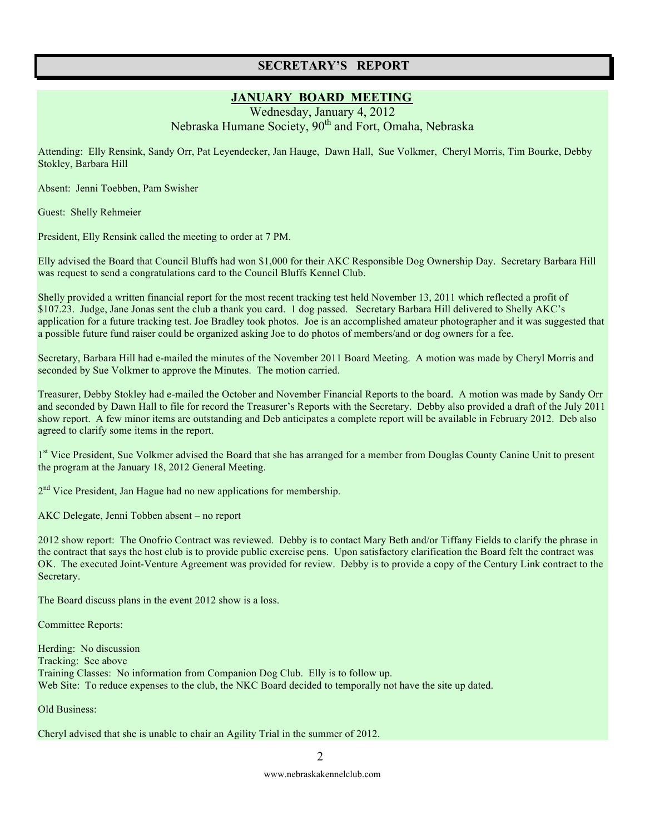#### **SECRETARY'S REPORT**

#### **JANUARY BOARD MEETING**

Wednesday, January 4, 2012 Nebraska Humane Society, 90<sup>th</sup> and Fort, Omaha, Nebraska

Attending: Elly Rensink, Sandy Orr, Pat Leyendecker, Jan Hauge, Dawn Hall, Sue Volkmer, Cheryl Morris, Tim Bourke, Debby Stokley, Barbara Hill

Absent: Jenni Toebben, Pam Swisher

Guest: Shelly Rehmeier

President, Elly Rensink called the meeting to order at 7 PM.

Elly advised the Board that Council Bluffs had won \$1,000 for their AKC Responsible Dog Ownership Day. Secretary Barbara Hill was request to send a congratulations card to the Council Bluffs Kennel Club.

Shelly provided a written financial report for the most recent tracking test held November 13, 2011 which reflected a profit of \$107.23. Judge, Jane Jonas sent the club a thank you card. 1 dog passed. Secretary Barbara Hill delivered to Shelly AKC's application for a future tracking test. Joe Bradley took photos. Joe is an accomplished amateur photographer and it was suggested that a possible future fund raiser could be organized asking Joe to do photos of members/and or dog owners for a fee.

Secretary, Barbara Hill had e-mailed the minutes of the November 2011 Board Meeting. A motion was made by Cheryl Morris and seconded by Sue Volkmer to approve the Minutes. The motion carried.

Treasurer, Debby Stokley had e-mailed the October and November Financial Reports to the board. A motion was made by Sandy Orr and seconded by Dawn Hall to file for record the Treasurer's Reports with the Secretary. Debby also provided a draft of the July 2011 show report. A few minor items are outstanding and Deb anticipates a complete report will be available in February 2012. Deb also agreed to clarify some items in the report.

<sup>1st</sup> Vice President, Sue Volkmer advised the Board that she has arranged for a member from Douglas County Canine Unit to present the program at the January 18, 2012 General Meeting.

2<sup>nd</sup> Vice President, Jan Hague had no new applications for membership.

AKC Delegate, Jenni Tobben absent – no report

2012 show report: The Onofrio Contract was reviewed. Debby is to contact Mary Beth and/or Tiffany Fields to clarify the phrase in the contract that says the host club is to provide public exercise pens. Upon satisfactory clarification the Board felt the contract was OK. The executed Joint-Venture Agreement was provided for review. Debby is to provide a copy of the Century Link contract to the Secretary.

The Board discuss plans in the event 2012 show is a loss.

Committee Reports:

Herding: No discussion Tracking: See above Training Classes: No information from Companion Dog Club. Elly is to follow up. Web Site: To reduce expenses to the club, the NKC Board decided to temporally not have the site up dated.

Old Business:

Cheryl advised that she is unable to chair an Agility Trial in the summer of 2012.

2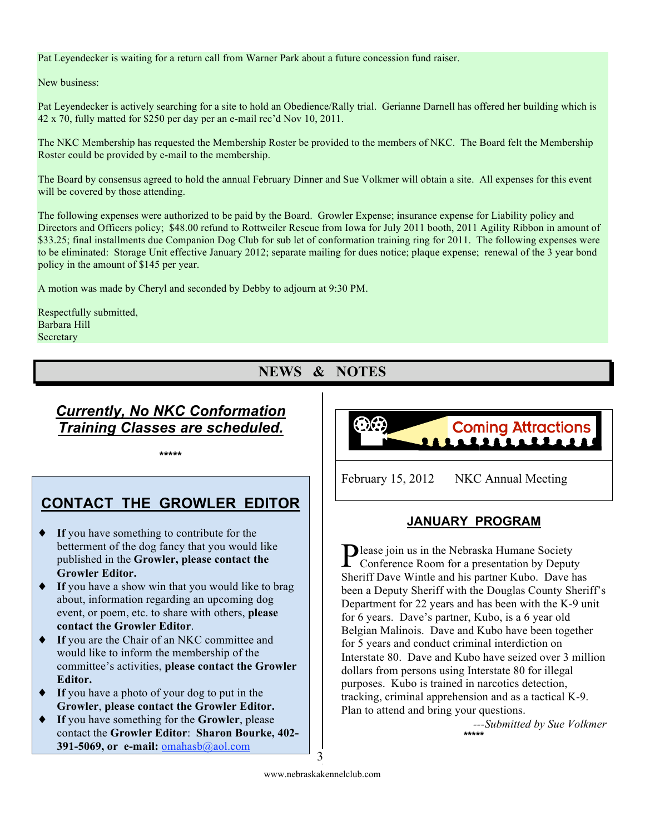#### Pat Leyendecker is waiting for a return call from Warner Park about a future concession fund raiser.

#### New business:

Pat Leyendecker is actively searching for a site to hold an Obedience/Rally trial. Gerianne Darnell has offered her building which is 42 x 70, fully matted for \$250 per day per an e-mail rec'd Nov 10, 2011.

The NKC Membership has requested the Membership Roster be provided to the members of NKC. The Board felt the Membership Roster could be provided by e-mail to the membership.

The Board by consensus agreed to hold the annual February Dinner and Sue Volkmer will obtain a site. All expenses for this event will be covered by those attending.

The following expenses were authorized to be paid by the Board. Growler Expense; insurance expense for Liability policy and Directors and Officers policy; \$48.00 refund to Rottweiler Rescue from Iowa for July 2011 booth, 2011 Agility Ribbon in amount of \$33.25; final installments due Companion Dog Club for sub let of conformation training ring for 2011. The following expenses were to be eliminated: Storage Unit effective January 2012; separate mailing for dues notice; plaque expense; renewal of the 3 year bond policy in the amount of \$145 per year.

A motion was made by Cheryl and seconded by Debby to adjourn at 9:30 PM.

Respectfully submitted, Barbara Hill Secretary

### **NEWS & NOTES**

### *Currently, No NKC Conformation Training Classes are scheduled.*

**\*\*\*\*\***

### **CONTACT THE GROWLER EDITOR**

- ♦ **If** you have something to contribute for the betterment of the dog fancy that you would like published in the **Growler, please contact the Growler Editor.**
- **If** you have a show win that you would like to brag about, information regarding an upcoming dog event, or poem, etc. to share with others, **please contact the Growler Editor**.
- ♦ **If** you are the Chair of an NKC committee and would like to inform the membership of the committee's activities, **please contact the Growler Editor.**
- **If** you have a photo of your dog to put in the **Growler**, **please contact the Growler Editor.**
- **If** you have something for the **Growler**, please contact the **Growler Editor**: **Sharon Bourke, 402- 391-5069, or e-mail: omahasb**@aol.com



February 15, 2012 NKC Annual Meeting

#### **JANUARY PROGRAM**

Please join us in the Nebraska Humane Society<br>Conference Room for a presentation by Deput Conference Room for a presentation by Deputy Sheriff Dave Wintle and his partner Kubo. Dave has been a Deputy Sheriff with the Douglas County Sheriff's Department for 22 years and has been with the K-9 unit for 6 years. Dave's partner, Kubo, is a 6 year old Belgian Malinois. Dave and Kubo have been together for 5 years and conduct criminal interdiction on Interstate 80. Dave and Kubo have seized over 3 million dollars from persons using Interstate 80 for illegal purposes. Kubo is trained in narcotics detection, tracking, criminal apprehension and as a tactical K-9. Plan to attend and bring your questions.

> *---Submitted by Sue Volkmer* **\*\*\*\*\***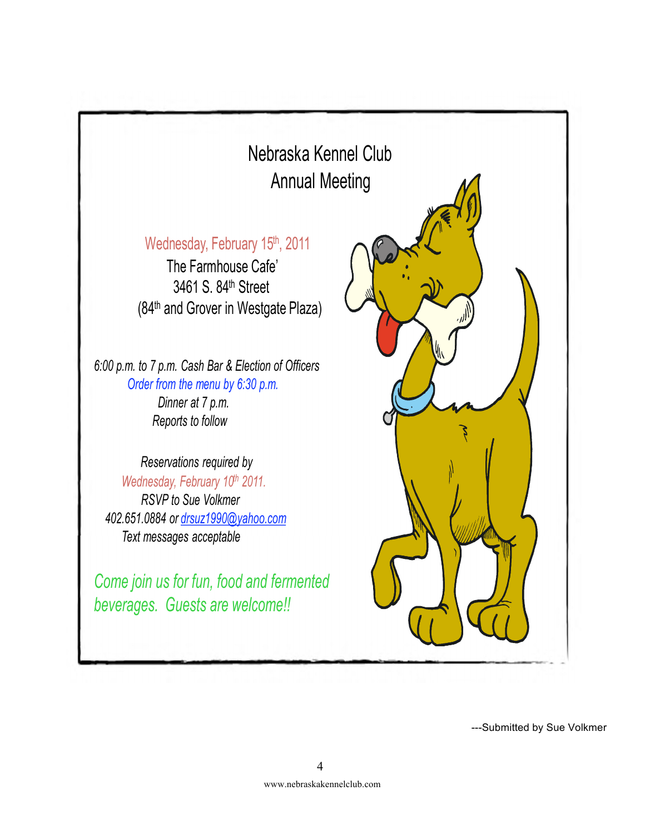

---Submitted by Sue Volkmer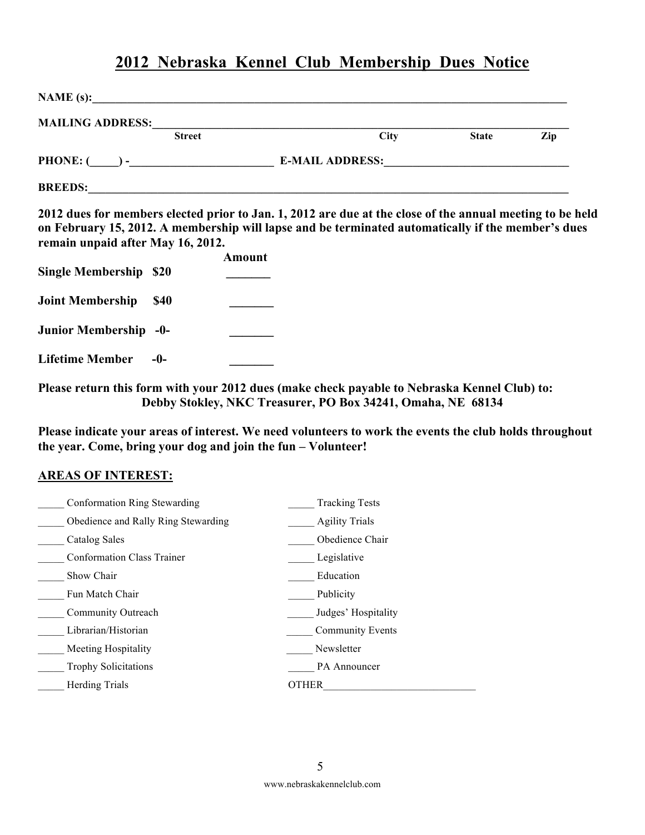### **2012 Nebraska Kennel Club Membership Dues Notice**

| 2012 dues for members elected prior to Jan. 1, 2012 are due at the close of the annual meeting to be held |                                                                                                                                                                                                    |
|-----------------------------------------------------------------------------------------------------------|----------------------------------------------------------------------------------------------------------------------------------------------------------------------------------------------------|
|                                                                                                           |                                                                                                                                                                                                    |
|                                                                                                           |                                                                                                                                                                                                    |
|                                                                                                           |                                                                                                                                                                                                    |
|                                                                                                           |                                                                                                                                                                                                    |
|                                                                                                           | on February 15, 2012. A membership will lapse and be terminated automatically if the member's dues<br>Please return this form with your 2012 dues (make check payable to Nebraska Kennel Club) to: |

**Please indicate your areas of interest. We need volunteers to work the events the club holds throughout the year. Come, bring your dog and join the fun – Volunteer!**

#### **AREAS OF INTEREST:**

| Conformation Ring Stewarding        | <b>Tracking Tests</b>   |
|-------------------------------------|-------------------------|
| Obedience and Rally Ring Stewarding | <b>Agility Trials</b>   |
| Catalog Sales                       | Obedience Chair         |
| <b>Conformation Class Trainer</b>   | Legislative             |
| Show Chair                          | Education               |
| Fun Match Chair                     | Publicity               |
| Community Outreach                  | Judges' Hospitality     |
| Librarian/Historian                 | <b>Community Events</b> |
| Meeting Hospitality                 | Newsletter              |
| <b>Trophy Solicitations</b>         | PA Announcer            |
| <b>Herding Trials</b>               | <b>OTHER</b>            |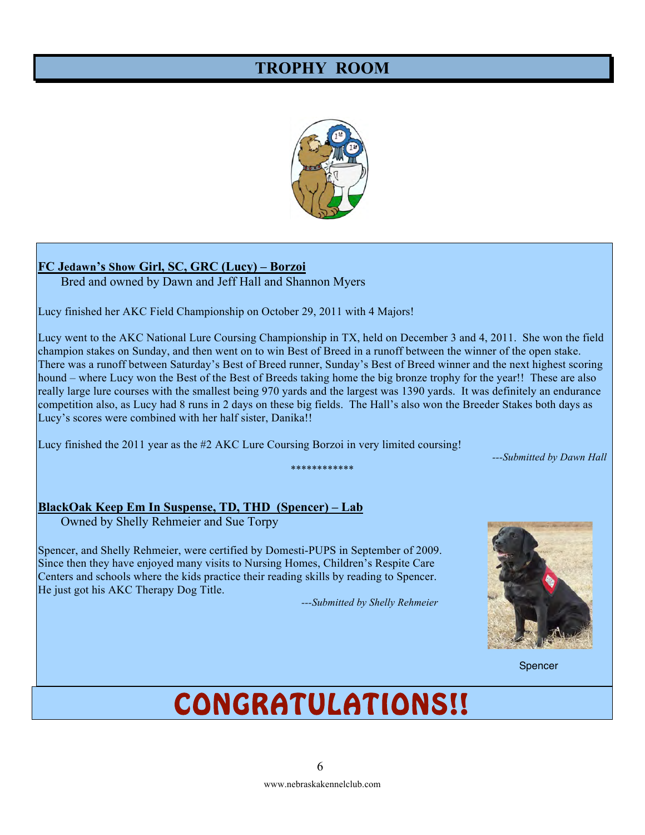### **TROPHY ROOM**



#### **FC Jedawn's Show Girl, SC, GRC (Lucy) – Borzoi**

Bred and owned by Dawn and Jeff Hall and Shannon Myers

Lucy finished her AKC Field Championship on October 29, 2011 with 4 Majors!

Lucy went to the AKC National Lure Coursing Championship in TX, held on December 3 and 4, 2011. She won the field champion stakes on Sunday, and then went on to win Best of Breed in a runoff between the winner of the open stake. There was a runoff between Saturday's Best of Breed runner, Sunday's Best of Breed winner and the next highest scoring hound – where Lucy won the Best of the Best of Breeds taking home the big bronze trophy for the year!! These are also really large lure courses with the smallest being 970 yards and the largest was 1390 yards. It was definitely an endurance competition also, as Lucy had 8 runs in 2 days on these big fields. The Hall's also won the Breeder Stakes both days as Lucy's scores were combined with her half sister, Danika!!

\*\*\*\*\*\*\*\*\*\*\*\*

Lucy finished the 2011 year as the #2 AKC Lure Coursing Borzoi in very limited coursing!

*---Submitted by Dawn Hall*

#### **BlackOak Keep Em In Suspense, TD, THD (Spencer) – Lab**

Owned by Shelly Rehmeier and Sue Torpy

Spencer, and Shelly Rehmeier, were certified by Domesti-PUPS in September of 2009. Since then they have enjoyed many visits to Nursing Homes, Children's Respite Care Centers and schools where the kids practice their reading skills by reading to Spencer. He just got his AKC Therapy Dog Title.

 *---Submitted by Shelly Rehmeier*



Spencer (1999) and the spencer of the spencer of the spencer of the spencer of the Spencer (1999) and the spencer

## CONGRATULATIONS!!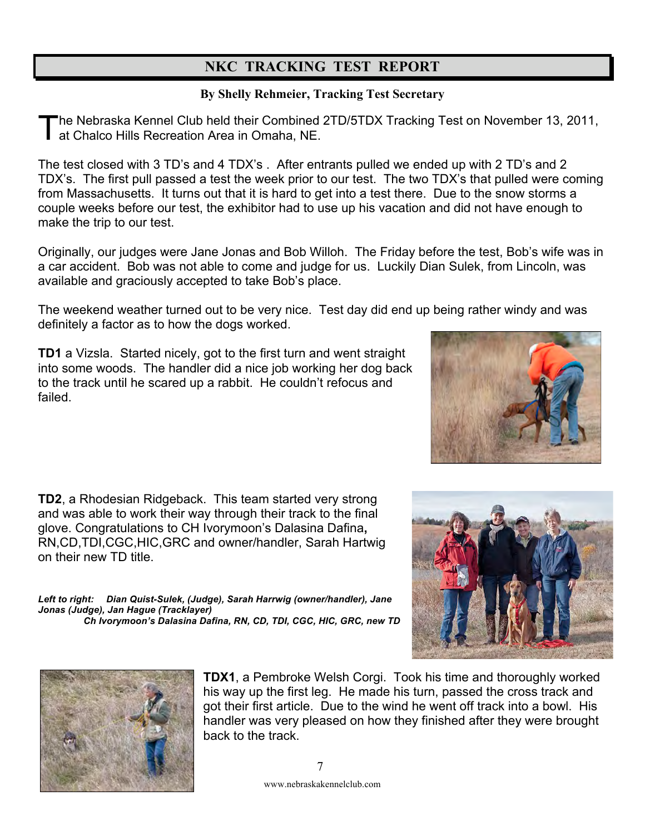### **NKC TRACKING TEST REPORT**

#### **By Shelly Rehmeier, Tracking Test Secretary**

he Nebraska Kennel Club held their Combined 2TD/5TDX Tracking Test on November 13, 2011, The Nebraska Kennel Club held their Combined<br>at Chalco Hills Recreation Area in Omaha, NE.

The test closed with 3 TD's and 4 TDX's . After entrants pulled we ended up with 2 TD's and 2 TDX's. The first pull passed a test the week prior to our test. The two TDX's that pulled were coming from Massachusetts. It turns out that it is hard to get into a test there. Due to the snow storms a couple weeks before our test, the exhibitor had to use up his vacation and did not have enough to make the trip to our test.

Originally, our judges were Jane Jonas and Bob Willoh. The Friday before the test, Bob's wife was in a car accident. Bob was not able to come and judge for us. Luckily Dian Sulek, from Lincoln, was available and graciously accepted to take Bob's place.

The weekend weather turned out to be very nice. Test day did end up being rather windy and was definitely a factor as to how the dogs worked.

**TD1** a Vizsla. Started nicely, got to the first turn and went straight into some woods. The handler did a nice job working her dog back to the track until he scared up a rabbit. He couldn't refocus and failed.

**TD2**, a Rhodesian Ridgeback. This team started very strong and was able to work their way through their track to the final glove. Congratulations to CH Ivorymoon's Dalasina Dafina**,**  RN,CD,TDI,CGC,HIC,GRC and owner/handler, Sarah Hartwig on their new TD title.

*Left to right: Dian Quist-Sulek, (Judge), Sarah Harrwig (owner/handler), Jane Jonas (Judge), Jan Hague (Tracklayer) Ch Ivorymoon's Dalasina Dafina, RN, CD, TDI, CGC, HIC, GRC, new TD*





**TDX1**, a Pembroke Welsh Corgi. Took his time and thoroughly worked his way up the first leg. He made his turn, passed the cross track and got their first article. Due to the wind he went off track into a bowl. His handler was very pleased on how they finished after they were brought back to the track.

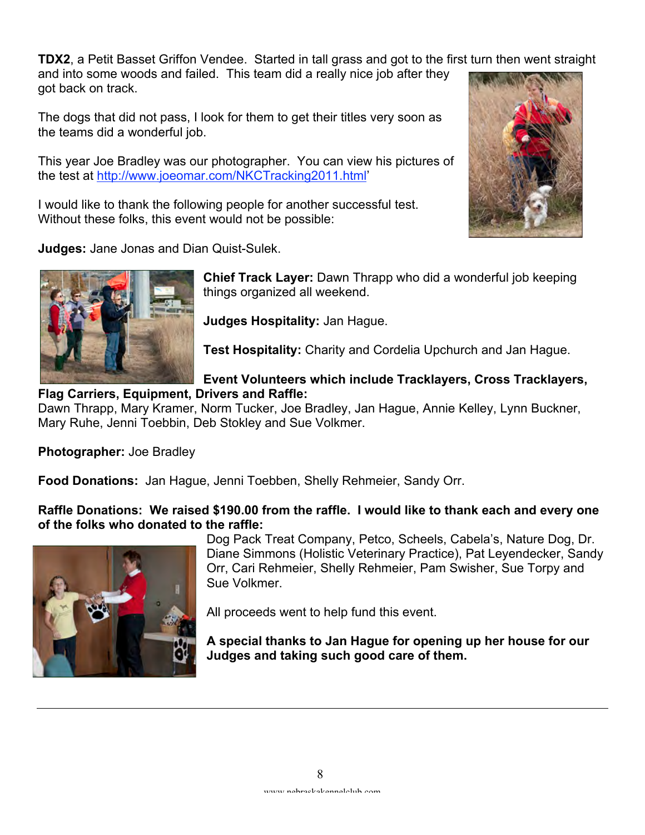**TDX2**, a Petit Basset Griffon Vendee. Started in tall grass and got to the first turn then went straight

and into some woods and failed. This team did a really nice job after they got back on track.

The dogs that did not pass, I look for them to get their titles very soon as the teams did a wonderful job.

This year Joe Bradley was our photographer. You can view his pictures of the test at http://www.joeomar.com/NKCTracking2011.html'

I would like to thank the following people for another successful test. Without these folks, this event would not be possible:



**Judges:** Jane Jonas and Dian Quist-Sulek.



**Chief Track Layer:** Dawn Thrapp who did a wonderful job keeping things organized all weekend.

**Judges Hospitality:** Jan Hague.

**Test Hospitality:** Charity and Cordelia Upchurch and Jan Hague.

#### **Event Volunteers which include Tracklayers, Cross Tracklayers, Flag Carriers, Equipment, Drivers and Raffle:**

Dawn Thrapp, Mary Kramer, Norm Tucker, Joe Bradley, Jan Hague, Annie Kelley, Lynn Buckner, Mary Ruhe, Jenni Toebbin, Deb Stokley and Sue Volkmer.

**Photographer:** Joe Bradley

**Food Donations:** Jan Hague, Jenni Toebben, Shelly Rehmeier, Sandy Orr.

**Raffle Donations: We raised \$190.00 from the raffle. I would like to thank each and every one of the folks who donated to the raffle:** 



Dog Pack Treat Company, Petco, Scheels, Cabela's, Nature Dog, Dr. Diane Simmons (Holistic Veterinary Practice), Pat Leyendecker, Sandy Orr, Cari Rehmeier, Shelly Rehmeier, Pam Swisher, Sue Torpy and Sue Volkmer.

All proceeds went to help fund this event.

**A special thanks to Jan Hague for opening up her house for our Judges and taking such good care of them.**